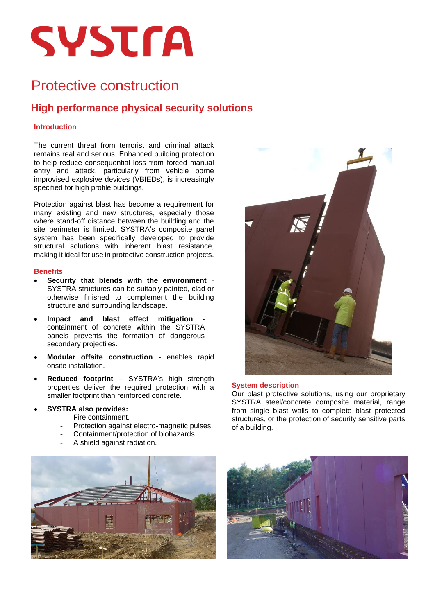# **SYSTMA**

### Protective construction

### **High performance physical security solutions**

#### **Introduction**

The current threat from terrorist and criminal attack remains real and serious. Enhanced building protection to help reduce consequential loss from forced manual entry and attack, particularly from vehicle borne improvised explosive devices (VBIEDs), is increasingly specified for high profile buildings.

Protection against blast has become a requirement for many existing and new structures, especially those where stand-off distance between the building and the site perimeter is limited. SYSTRA's composite panel system has been specifically developed to provide structural solutions with inherent blast resistance, making it ideal for use in protective construction projects.

#### **Benefits**

- **Security that blends with the environment** SYSTRA structures can be suitably painted, clad or otherwise finished to complement the building structure and surrounding landscape.
- Impact and blast effect mitigation containment of concrete within the SYSTRA panels prevents the formation of dangerous secondary projectiles.
- **Modular offsite construction** enables rapid onsite installation.
- **Reduced footprint** SYSTRA's high strength properties deliver the required protection with a smaller footprint than reinforced concrete.
- **SYSTRA also provides:**
	- Fire containment.
		- Protection against electro-magnetic pulses.
		- Containment/protection of biohazards.
	- A shield against radiation.



#### **System description**

Our blast protective solutions, using our proprietary SYSTRA steel/concrete composite material, range from single blast walls to complete blast protected structures, or the protection of security sensitive parts of a building.